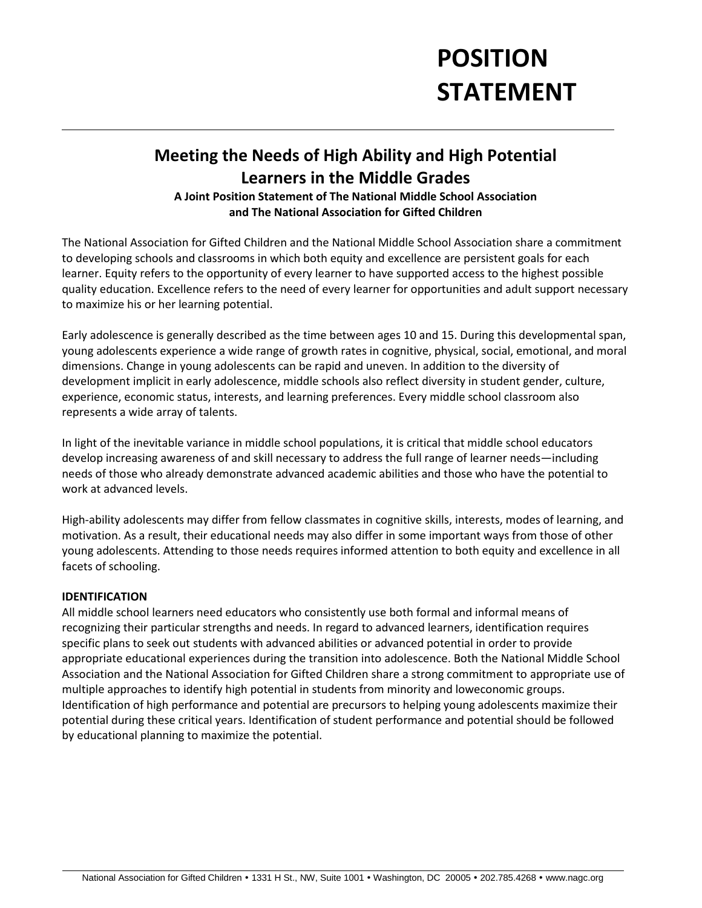# **POSITION STATEMENT**

# **Meeting the Needs of High Ability and High Potential Learners in the Middle Grades A Joint Position Statement of The National Middle School Association and The National Association for Gifted Children**

The National Association for Gifted Children and the National Middle School Association share a commitment to developing schools and classrooms in which both equity and excellence are persistent goals for each learner. Equity refers to the opportunity of every learner to have supported access to the highest possible quality education. Excellence refers to the need of every learner for opportunities and adult support necessary to maximize his or her learning potential.

Early adolescence is generally described as the time between ages 10 and 15. During this developmental span, young adolescents experience a wide range of growth rates in cognitive, physical, social, emotional, and moral dimensions. Change in young adolescents can be rapid and uneven. In addition to the diversity of development implicit in early adolescence, middle schools also reflect diversity in student gender, culture, experience, economic status, interests, and learning preferences. Every middle school classroom also represents a wide array of talents.

In light of the inevitable variance in middle school populations, it is critical that middle school educators develop increasing awareness of and skill necessary to address the full range of learner needs—including needs of those who already demonstrate advanced academic abilities and those who have the potential to work at advanced levels.

High-ability adolescents may differ from fellow classmates in cognitive skills, interests, modes of learning, and motivation. As a result, their educational needs may also differ in some important ways from those of other young adolescents. Attending to those needs requires informed attention to both equity and excellence in all facets of schooling.

#### **IDENTIFICATION**

All middle school learners need educators who consistently use both formal and informal means of recognizing their particular strengths and needs. In regard to advanced learners, identification requires specific plans to seek out students with advanced abilities or advanced potential in order to provide appropriate educational experiences during the transition into adolescence. Both the National Middle School Association and the National Association for Gifted Children share a strong commitment to appropriate use of multiple approaches to identify high potential in students from minority and loweconomic groups. Identification of high performance and potential are precursors to helping young adolescents maximize their potential during these critical years. Identification of student performance and potential should be followed by educational planning to maximize the potential.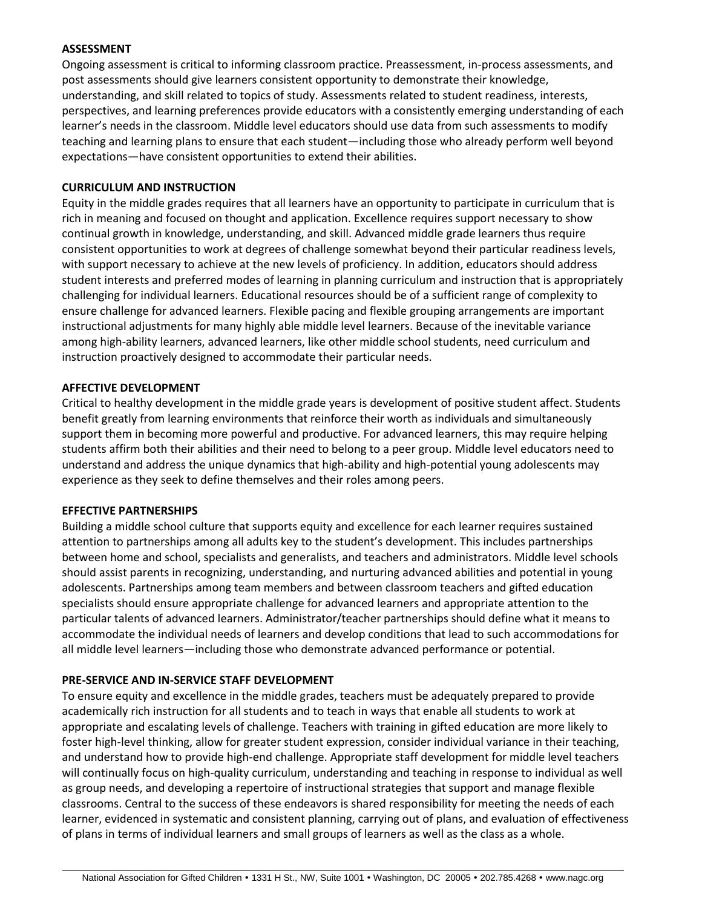#### **ASSESSMENT**

Ongoing assessment is critical to informing classroom practice. Preassessment, in-process assessments, and post assessments should give learners consistent opportunity to demonstrate their knowledge, understanding, and skill related to topics of study. Assessments related to student readiness, interests, perspectives, and learning preferences provide educators with a consistently emerging understanding of each learner's needs in the classroom. Middle level educators should use data from such assessments to modify teaching and learning plans to ensure that each student—including those who already perform well beyond expectations—have consistent opportunities to extend their abilities.

#### **CURRICULUM AND INSTRUCTION**

Equity in the middle grades requires that all learners have an opportunity to participate in curriculum that is rich in meaning and focused on thought and application. Excellence requires support necessary to show continual growth in knowledge, understanding, and skill. Advanced middle grade learners thus require consistent opportunities to work at degrees of challenge somewhat beyond their particular readiness levels, with support necessary to achieve at the new levels of proficiency. In addition, educators should address student interests and preferred modes of learning in planning curriculum and instruction that is appropriately challenging for individual learners. Educational resources should be of a sufficient range of complexity to ensure challenge for advanced learners. Flexible pacing and flexible grouping arrangements are important instructional adjustments for many highly able middle level learners. Because of the inevitable variance among high-ability learners, advanced learners, like other middle school students, need curriculum and instruction proactively designed to accommodate their particular needs.

#### **AFFECTIVE DEVELOPMENT**

Critical to healthy development in the middle grade years is development of positive student affect. Students benefit greatly from learning environments that reinforce their worth as individuals and simultaneously support them in becoming more powerful and productive. For advanced learners, this may require helping students affirm both their abilities and their need to belong to a peer group. Middle level educators need to understand and address the unique dynamics that high-ability and high-potential young adolescents may experience as they seek to define themselves and their roles among peers.

#### **EFFECTIVE PARTNERSHIPS**

Building a middle school culture that supports equity and excellence for each learner requires sustained attention to partnerships among all adults key to the student's development. This includes partnerships between home and school, specialists and generalists, and teachers and administrators. Middle level schools should assist parents in recognizing, understanding, and nurturing advanced abilities and potential in young adolescents. Partnerships among team members and between classroom teachers and gifted education specialists should ensure appropriate challenge for advanced learners and appropriate attention to the particular talents of advanced learners. Administrator/teacher partnerships should define what it means to accommodate the individual needs of learners and develop conditions that lead to such accommodations for all middle level learners—including those who demonstrate advanced performance or potential.

#### **PRE-SERVICE AND IN-SERVICE STAFF DEVELOPMENT**

To ensure equity and excellence in the middle grades, teachers must be adequately prepared to provide academically rich instruction for all students and to teach in ways that enable all students to work at appropriate and escalating levels of challenge. Teachers with training in gifted education are more likely to foster high-level thinking, allow for greater student expression, consider individual variance in their teaching, and understand how to provide high-end challenge. Appropriate staff development for middle level teachers will continually focus on high-quality curriculum, understanding and teaching in response to individual as well as group needs, and developing a repertoire of instructional strategies that support and manage flexible classrooms. Central to the success of these endeavors is shared responsibility for meeting the needs of each learner, evidenced in systematic and consistent planning, carrying out of plans, and evaluation of effectiveness of plans in terms of individual learners and small groups of learners as well as the class as a whole.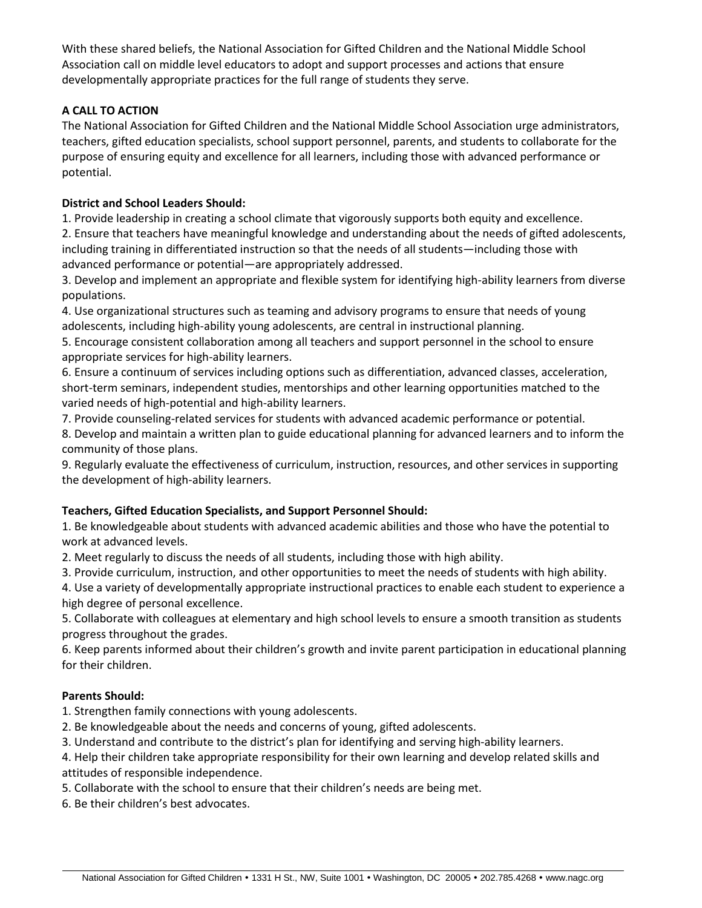With these shared beliefs, the National Association for Gifted Children and the National Middle School Association call on middle level educators to adopt and support processes and actions that ensure developmentally appropriate practices for the full range of students they serve.

## **A CALL TO ACTION**

The National Association for Gifted Children and the National Middle School Association urge administrators, teachers, gifted education specialists, school support personnel, parents, and students to collaborate for the purpose of ensuring equity and excellence for all learners, including those with advanced performance or potential.

### **District and School Leaders Should:**

1. Provide leadership in creating a school climate that vigorously supports both equity and excellence.

2. Ensure that teachers have meaningful knowledge and understanding about the needs of gifted adolescents, including training in differentiated instruction so that the needs of all students—including those with advanced performance or potential—are appropriately addressed.

3. Develop and implement an appropriate and flexible system for identifying high-ability learners from diverse populations.

4. Use organizational structures such as teaming and advisory programs to ensure that needs of young adolescents, including high-ability young adolescents, are central in instructional planning.

5. Encourage consistent collaboration among all teachers and support personnel in the school to ensure appropriate services for high-ability learners.

6. Ensure a continuum of services including options such as differentiation, advanced classes, acceleration, short-term seminars, independent studies, mentorships and other learning opportunities matched to the varied needs of high-potential and high-ability learners.

7. Provide counseling-related services for students with advanced academic performance or potential. 8. Develop and maintain a written plan to guide educational planning for advanced learners and to inform the community of those plans.

9. Regularly evaluate the effectiveness of curriculum, instruction, resources, and other services in supporting the development of high-ability learners.

# **Teachers, Gifted Education Specialists, and Support Personnel Should:**

1. Be knowledgeable about students with advanced academic abilities and those who have the potential to work at advanced levels.

2. Meet regularly to discuss the needs of all students, including those with high ability.

3. Provide curriculum, instruction, and other opportunities to meet the needs of students with high ability.

4. Use a variety of developmentally appropriate instructional practices to enable each student to experience a high degree of personal excellence.

5. Collaborate with colleagues at elementary and high school levels to ensure a smooth transition as students progress throughout the grades.

6. Keep parents informed about their children's growth and invite parent participation in educational planning for their children.

# **Parents Should:**

1. Strengthen family connections with young adolescents.

- 2. Be knowledgeable about the needs and concerns of young, gifted adolescents.
- 3. Understand and contribute to the district's plan for identifying and serving high-ability learners.

4. Help their children take appropriate responsibility for their own learning and develop related skills and attitudes of responsible independence.

- 5. Collaborate with the school to ensure that their children's needs are being met.
- 6. Be their children's best advocates.